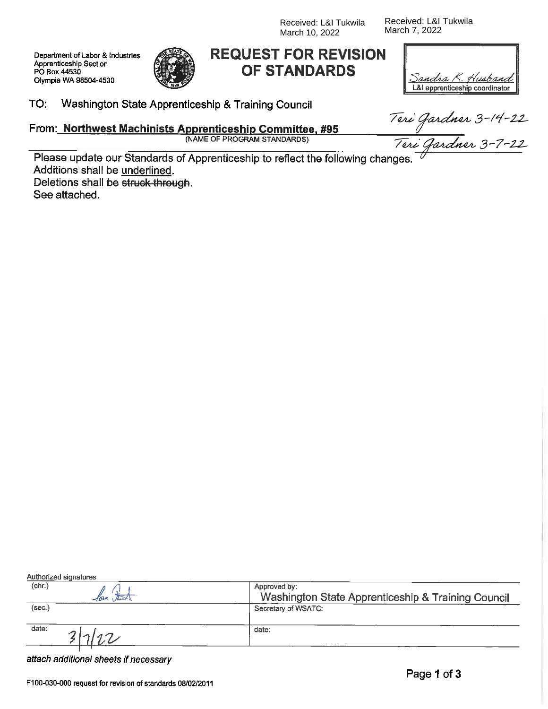Received: L&I Tukwila March 10, 2022

Received: L&I Tukwila March 7, 2022

П

Department of Labor & Industries Apprenticeship Section PO Box 44530 Olympia WA 98504-4530



# **REQUEST FOR REVISION OF STANDARDS**

| <u> Sandra K. Husband  </u>    |
|--------------------------------|
| L&I apprenticeship coordinator |

#### TO: Washington State Apprenticeship & Training Council

From: Northwest Machinists Apprenticeship Committee, #95 (NAME OF PROGRAM STANDARDS)

Teri Gardner 3–14–22<br>-<br>Teri Gardner 3–7–22

Please update our Standards of Apprenticeship to reflect the following changes Additions shall be underlined. Deletions shall be struck through.

See attached.

| Authorized signatures |                                                    |
|-----------------------|----------------------------------------------------|
| (chr.)                | Approved by:                                       |
|                       | Washington State Apprenticeship & Training Council |
| (sec.)                | Secretary of WSATC:                                |
| date:                 | date:                                              |
|                       |                                                    |

attach additional sheets if necessary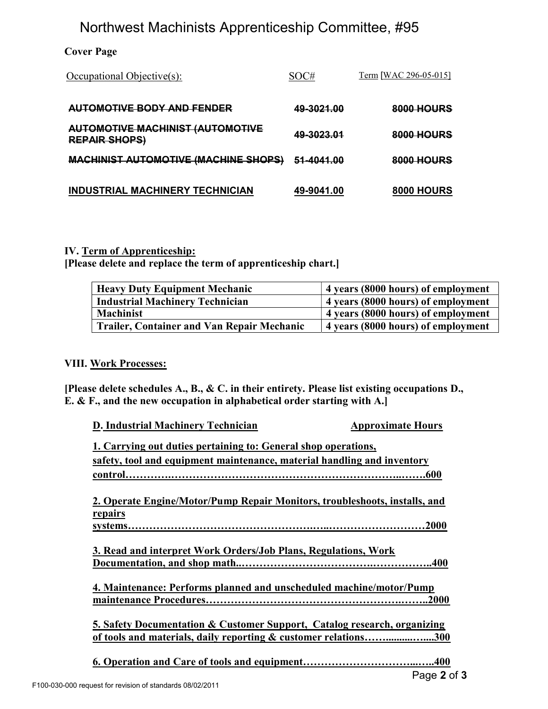# Northwest Machinists Apprenticeship Committee, #95

### Cover Page

| Occupational Objective(s):                                      | SOC#              | <u>Term</u> [WAC 296-05-015] |
|-----------------------------------------------------------------|-------------------|------------------------------|
| AUTOMOTIVE BODY AND FENDER                                      | 49-3021.00        | <b>8000 HOURS</b>            |
| <b>AUTOMOTIVE MACHINIST (AUTOMOTIVE</b><br><b>REPAIR SHOPS)</b> | <u>49-3023.01</u> | 8000 HOURS                   |
| <b>MACHINIST AUTOMOTIVE (MACHINE SHOPS)</b>                     | 51-4041.00        | 8000 HOURS                   |
| <b>INDUSTRIAL MACHINERY TECHNICIAN</b>                          | 49-9041.00        | <b>8000 HOURS</b>            |

### IV. Term of Apprenticeship:

[Please delete and replace the term of apprenticeship chart.]

| <b>Heavy Duty Equipment Mechanic</b>              | 4 years (8000 hours) of employment |
|---------------------------------------------------|------------------------------------|
| <b>Industrial Machinery Technician</b>            | 4 years (8000 hours) of employment |
| <b>Machinist</b>                                  | 4 years (8000 hours) of employment |
| <b>Trailer, Container and Van Repair Mechanic</b> | 4 years (8000 hours) of employment |

### VIII. Work Processes:

[Please delete schedules A., B., & C. in their entirety. Please list existing occupations D., E. & F., and the new occupation in alphabetical order starting with A.]

| D. Industrial Machinery Technician                                                                                                                     | <b>Approximate Hours</b>                    |
|--------------------------------------------------------------------------------------------------------------------------------------------------------|---------------------------------------------|
| 1. Carrying out duties pertaining to: General shop operations,                                                                                         |                                             |
| safety, tool and equipment maintenance, material handling and inventory                                                                                |                                             |
|                                                                                                                                                        |                                             |
| 2. Operate Engine/Motor/Pump Repair Monitors, troubleshoots, installs, and                                                                             |                                             |
| repairs                                                                                                                                                |                                             |
|                                                                                                                                                        |                                             |
| 3. Read and interpret Work Orders/Job Plans, Regulations, Work                                                                                         |                                             |
| 4. Maintenance: Performs planned and unscheduled machine/motor/Pump                                                                                    |                                             |
|                                                                                                                                                        |                                             |
| 5. Safety Documentation & Customer Support, Catalog research, organizing<br><u>of tools and materials, daily reporting &amp; customer relations300</u> |                                             |
|                                                                                                                                                        |                                             |
|                                                                                                                                                        | $\Gamma_{\text{max}}$ $\Omega_{\text{max}}$ |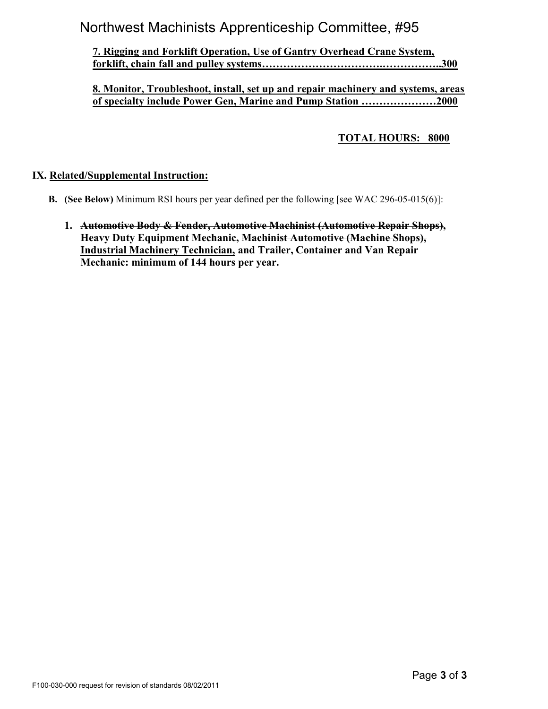# Northwest Machinists Apprenticeship Committee, #95

### 7. Rigging and Forklift Operation, Use of Gantry Overhead Crane System, forklift, chain fall and pulley systems…………………………….……………..300

### 8. Monitor, Troubleshoot, install, set up and repair machinery and systems, areas of specialty include Power Gen, Marine and Pump Station …………………2000

### TOTAL HOURS: 8000

### IX. Related/Supplemental Instruction:

- B. (See Below) Minimum RSI hours per year defined per the following [see WAC 296-05-015(6)]:
	- 1. Automotive Body & Fender, Automotive Machinist (Automotive Repair Shops), Heavy Duty Equipment Mechanic, Machinist Automotive (Machine Shops), Industrial Machinery Technician, and Trailer, Container and Van Repair Mechanic: minimum of 144 hours per year.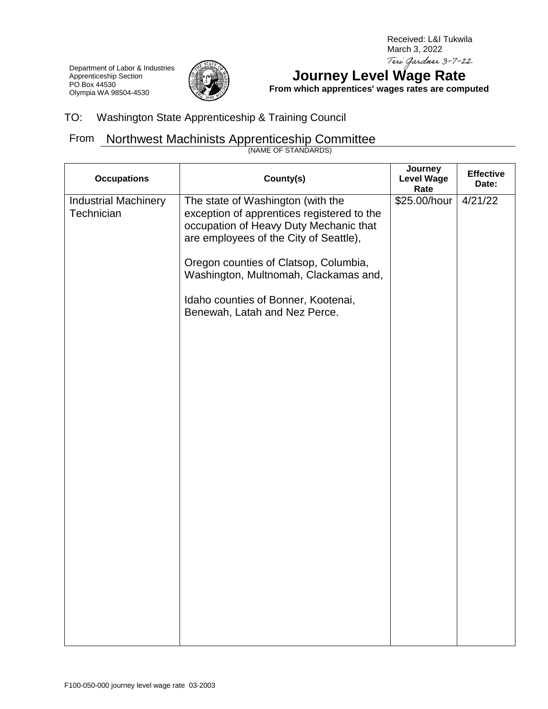Received: L&I Tukwila March 3, 2022Teri Gardner 3-7-22

Department of Labor & Industries Apprenticeship Section PO Box 44530 Olympia WA 98504-4530



# **Journey Level Wage Rate**

**From which apprentices' wages rates are computed**

### TO: Washington State Apprenticeship & Training Council

## From Northwest Machinists Apprenticeship Committee

(NAME OF STANDARDS)

| <b>Occupations</b>                        | County(s)                                                                                                                                                                                                                                                                                                                     | Journey<br><b>Level Wage</b><br>Rate | <b>Effective</b><br>Date: |
|-------------------------------------------|-------------------------------------------------------------------------------------------------------------------------------------------------------------------------------------------------------------------------------------------------------------------------------------------------------------------------------|--------------------------------------|---------------------------|
| <b>Industrial Machinery</b><br>Technician | The state of Washington (with the<br>exception of apprentices registered to the<br>occupation of Heavy Duty Mechanic that<br>are employees of the City of Seattle),<br>Oregon counties of Clatsop, Columbia,<br>Washington, Multnomah, Clackamas and,<br>Idaho counties of Bonner, Kootenai,<br>Benewah, Latah and Nez Perce. | \$25.00/hour                         | 4/21/22                   |
|                                           |                                                                                                                                                                                                                                                                                                                               |                                      |                           |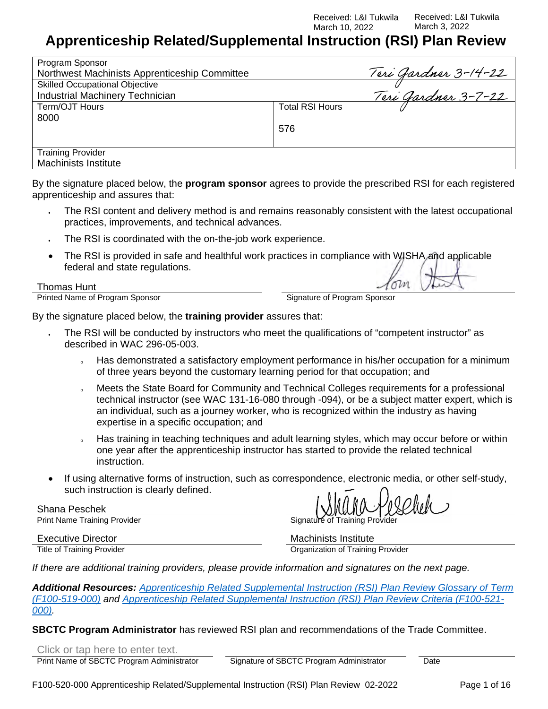Received: L&I Tukwila March 10, 2022

Received: L&I Tukwila March 3, 2022

# **Apprenticeship Related/Supplemental Instruction (RSI) Plan Review**

| Program Sponsor                               |                        |                            |
|-----------------------------------------------|------------------------|----------------------------|
| Northwest Machinists Apprenticeship Committee |                        | Teri Gardner 3-14-22       |
| <b>Skilled Occupational Objective</b>         |                        |                            |
| <b>Industrial Machinery Technician</b>        |                        | <u>Teri Gardner 3-7-22</u> |
| Term/OJT Hours                                | <b>Total RSI Hours</b> |                            |
| 8000                                          |                        |                            |
|                                               | 576                    |                            |
|                                               |                        |                            |
| <b>Training Provider</b>                      |                        |                            |
| <b>Machinists Institute</b>                   |                        |                            |

By the signature placed below, the **program sponsor** agrees to provide the prescribed RSI for each registered apprenticeship and assures that:

- The RSI content and delivery method is and remains reasonably consistent with the latest occupational practices, improvements, and technical advances.
- The RSI is coordinated with the on-the-job work experience.
- The RSI is provided in safe and healthful work practices in compliance with WISHA and applicable federal and state regulations.

#### Thomas Hunt

Printed Name of Program Sponsor Signature of Program Sponsor

om

By the signature placed below, the **training provider** assures that:

- The RSI will be conducted by instructors who meet the qualifications of "competent instructor" as described in WAC 296-05-003.
	- Has demonstrated a satisfactory employment performance in his/her occupation for a minimum of three years beyond the customary learning period for that occupation; and
	- Meets the State Board for Community and Technical Colleges requirements for a professional technical instructor (see WAC 131-16-080 through -094), or be a subject matter expert, which is an individual, such as a journey worker, who is recognized within the industry as having expertise in a specific occupation; and
	- Has training in teaching techniques and adult learning styles, which may occur before or within one year after the apprenticeship instructor has started to provide the related technical instruction.
- If using alternative forms of instruction, such as correspondence, electronic media, or other self-study, such instruction is clearly defined.

Shana Peschek

Print Name Training Provider **Signature of Training Provider** Signature of Training Provider

Executive Director Machinists Institute<br>Title of Training Provider Machinists Institute<br>
Organization of Training

**Organization of Training Provider** 

*If there are additional training providers, please provide information and signatures on the next page.*

*Additional Resources: [Apprenticeship Related Supplemental Instruction \(RSI\) Plan Review Glossary of Term](http://www.lni.wa.gov/FormPub/Detail.asp?DocID=2075)  [\(F100-519-000\)](http://www.lni.wa.gov/FormPub/Detail.asp?DocID=2075) and [Apprenticeship Related Supplemental Instruction \(RSI\) Plan Review Criteria \(F100-521-](http://www.lni.wa.gov/FormPub/Detail.asp?DocID=2077) [000\).](http://www.lni.wa.gov/FormPub/Detail.asp?DocID=2077)* 

**SBCTC Program Administrator** has reviewed RSI plan and recommendations of the Trade Committee.

Click or tap here to enter text.

Print Name of SBCTC Program Administrator Signature of SBCTC Program Administrator Date

F100-520-000 Apprenticeship Related/Supplemental Instruction (RSI) Plan Review 02-2022 Page 1 of 16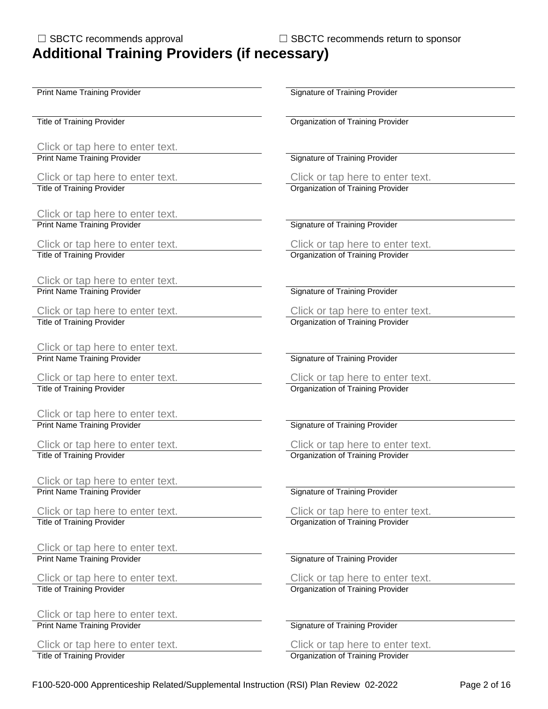Click or tap here to enter text.<br>Print Name Training Provider

Click or tap here to enter text.<br>
Title of Training Provider<br>
Click or tap here to enter text.<br>
Organization of Training Provider

Click or tap here to enter text. Print Name Training Provider Signature of Training Provider Signature of Training Provider

Click or tap here to enter text. Click or tap here to enter text. Title of Training Provider **Organization of Training Provider** Creation of Training Provider

Click or tap here to enter text. Print Name Training Provider Signature of Training Provider Signature of Training Provider

Click or tap here to enter text.<br>
Title of Training Provider<br>
Click or tap here to enter text.<br>
Organization of Training Provider

Click or tap here to enter text. Print Name Training Provider Signature of Training Provider Signature of Training Provider

Click or tap here to enter text.<br>Title of Training Provider

Click or tap here to enter text. Print Name Training Provider Signature of Training Provider Signature of Training Provider

Click or tap here to enter text.<br>
Title of Training Provider<br>
Click or tap here to enter text.<br>
Organization of Training Provider

Click or tap here to enter text. Print Name Training Provider Signature of Training Provider Signature of Training Provider

Click or tap here to enter text. Click or tap here to enter text. Title of Training Provider **Organization Communist Communist Communist Communist Communist Communist Communist Communist Communist Communist Communist Communist Communist Communist Communist Communist Communist Communist C** 

Click or tap here to enter text. Print Name Training Provider Signature of Training Provider Signature of Training Provider

Click or tap here to enter text.<br>
Title of Training Provider<br>
Click or tap here to enter text.<br>
Organization of Training Provider

Click or tap here to enter text.<br>Print Name Training Provider

Print Name Training Provider **Signature of Training Provider** Signature of Training Provider

Title of Training Provider **Training Provider** Critics of Training Provider Critics of Training Provider

**Signature of Training Provider** 

**Organization of Training Provider** 

**Organization of Training Provider** 

Click or tap here to enter text.<br>Organization of Training Provider

**Organization of Training Provider** 

**Organization of Training Provider** 

**Signature of Training Provider** 

Click or tap here to enter text.<br>
Title of Training Provider<br>
Click or tap here to enter text. **Organization of Training Provider**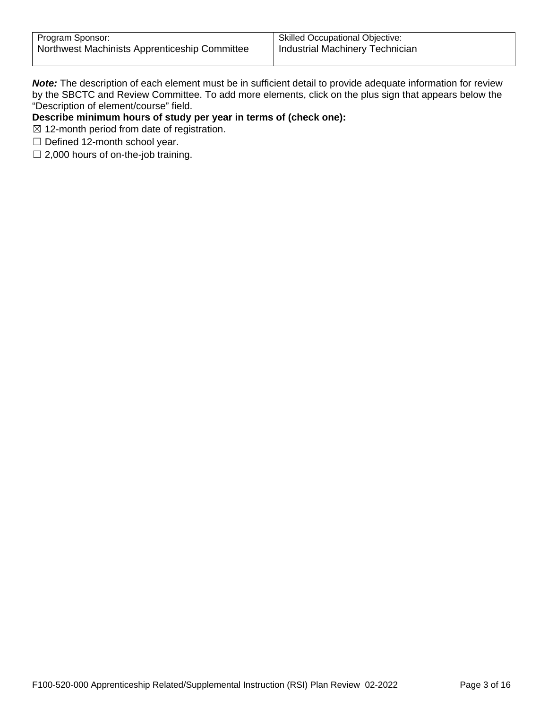*Note:* The description of each element must be in sufficient detail to provide adequate information for review by the SBCTC and Review Committee. To add more elements, click on the plus sign that appears below the "Description of element/course" field.

### **Describe minimum hours of study per year in terms of (check one):**

- $\boxtimes$  12-month period from date of registration.
- $\Box$  Defined 12-month school year.
- $\Box$  2,000 hours of on-the-job training.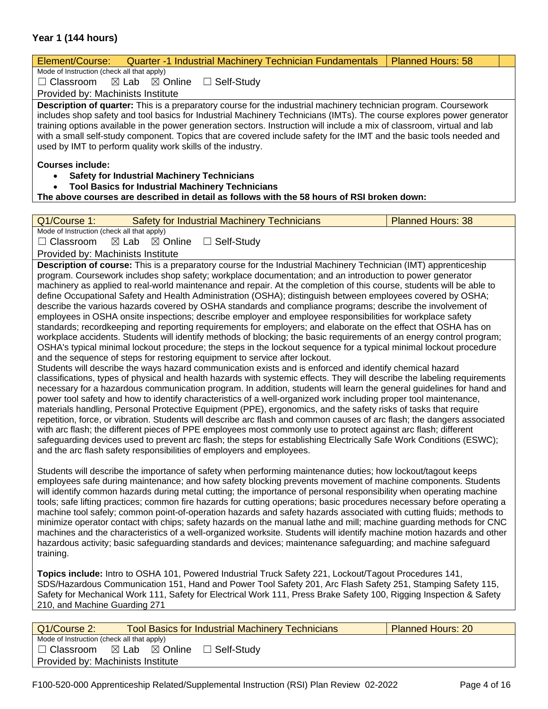### **Year 1 (144 hours)**

| Element/Course:<br><b>Quarter -1 Industrial Machinery Technician Fundamentals</b>                                                                                                                                                                                                                                                                                                                                                                                                                                                                                                                                                                                                                                                                                                                                                                                                                                                                                                                                                                                                                                                                                                                                                                                                                                                                                                                                                                                                                                                                                                                                                                                                                                                                                                                                                                                                                                                                                                                                                                                                          | <b>Planned Hours: 58</b> |  |  |
|--------------------------------------------------------------------------------------------------------------------------------------------------------------------------------------------------------------------------------------------------------------------------------------------------------------------------------------------------------------------------------------------------------------------------------------------------------------------------------------------------------------------------------------------------------------------------------------------------------------------------------------------------------------------------------------------------------------------------------------------------------------------------------------------------------------------------------------------------------------------------------------------------------------------------------------------------------------------------------------------------------------------------------------------------------------------------------------------------------------------------------------------------------------------------------------------------------------------------------------------------------------------------------------------------------------------------------------------------------------------------------------------------------------------------------------------------------------------------------------------------------------------------------------------------------------------------------------------------------------------------------------------------------------------------------------------------------------------------------------------------------------------------------------------------------------------------------------------------------------------------------------------------------------------------------------------------------------------------------------------------------------------------------------------------------------------------------------------|--------------------------|--|--|
| Mode of Instruction (check all that apply)                                                                                                                                                                                                                                                                                                                                                                                                                                                                                                                                                                                                                                                                                                                                                                                                                                                                                                                                                                                                                                                                                                                                                                                                                                                                                                                                                                                                                                                                                                                                                                                                                                                                                                                                                                                                                                                                                                                                                                                                                                                 |                          |  |  |
| $\Box$ Self-Study<br>$\Box$ Classroom<br>$\boxtimes$ Online<br>$\boxtimes$ Lab                                                                                                                                                                                                                                                                                                                                                                                                                                                                                                                                                                                                                                                                                                                                                                                                                                                                                                                                                                                                                                                                                                                                                                                                                                                                                                                                                                                                                                                                                                                                                                                                                                                                                                                                                                                                                                                                                                                                                                                                             |                          |  |  |
| Provided by: Machinists Institute                                                                                                                                                                                                                                                                                                                                                                                                                                                                                                                                                                                                                                                                                                                                                                                                                                                                                                                                                                                                                                                                                                                                                                                                                                                                                                                                                                                                                                                                                                                                                                                                                                                                                                                                                                                                                                                                                                                                                                                                                                                          |                          |  |  |
| Description of quarter: This is a preparatory course for the industrial machinery technician program. Coursework<br>includes shop safety and tool basics for Industrial Machinery Technicians (IMTs). The course explores power generator<br>training options available in the power generation sectors. Instruction will include a mix of classroom, virtual and lab<br>with a small self-study component. Topics that are covered include safety for the IMT and the basic tools needed and<br>used by IMT to perform quality work skills of the industry.                                                                                                                                                                                                                                                                                                                                                                                                                                                                                                                                                                                                                                                                                                                                                                                                                                                                                                                                                                                                                                                                                                                                                                                                                                                                                                                                                                                                                                                                                                                               |                          |  |  |
| <b>Courses include:</b>                                                                                                                                                                                                                                                                                                                                                                                                                                                                                                                                                                                                                                                                                                                                                                                                                                                                                                                                                                                                                                                                                                                                                                                                                                                                                                                                                                                                                                                                                                                                                                                                                                                                                                                                                                                                                                                                                                                                                                                                                                                                    |                          |  |  |
| <b>Safety for Industrial Machinery Technicians</b>                                                                                                                                                                                                                                                                                                                                                                                                                                                                                                                                                                                                                                                                                                                                                                                                                                                                                                                                                                                                                                                                                                                                                                                                                                                                                                                                                                                                                                                                                                                                                                                                                                                                                                                                                                                                                                                                                                                                                                                                                                         |                          |  |  |
| <b>Tool Basics for Industrial Machinery Technicians</b><br>$\bullet$                                                                                                                                                                                                                                                                                                                                                                                                                                                                                                                                                                                                                                                                                                                                                                                                                                                                                                                                                                                                                                                                                                                                                                                                                                                                                                                                                                                                                                                                                                                                                                                                                                                                                                                                                                                                                                                                                                                                                                                                                       |                          |  |  |
| The above courses are described in detail as follows with the 58 hours of RSI broken down:                                                                                                                                                                                                                                                                                                                                                                                                                                                                                                                                                                                                                                                                                                                                                                                                                                                                                                                                                                                                                                                                                                                                                                                                                                                                                                                                                                                                                                                                                                                                                                                                                                                                                                                                                                                                                                                                                                                                                                                                 |                          |  |  |
|                                                                                                                                                                                                                                                                                                                                                                                                                                                                                                                                                                                                                                                                                                                                                                                                                                                                                                                                                                                                                                                                                                                                                                                                                                                                                                                                                                                                                                                                                                                                                                                                                                                                                                                                                                                                                                                                                                                                                                                                                                                                                            |                          |  |  |
| Q1/Course 1:<br><b>Safety for Industrial Machinery Technicians</b>                                                                                                                                                                                                                                                                                                                                                                                                                                                                                                                                                                                                                                                                                                                                                                                                                                                                                                                                                                                                                                                                                                                                                                                                                                                                                                                                                                                                                                                                                                                                                                                                                                                                                                                                                                                                                                                                                                                                                                                                                         | <b>Planned Hours: 38</b> |  |  |
| Mode of Instruction (check all that apply)<br>$\Box$ Classroom<br>$\boxtimes$ Lab $\boxtimes$ Online<br>$\Box$ Self-Study                                                                                                                                                                                                                                                                                                                                                                                                                                                                                                                                                                                                                                                                                                                                                                                                                                                                                                                                                                                                                                                                                                                                                                                                                                                                                                                                                                                                                                                                                                                                                                                                                                                                                                                                                                                                                                                                                                                                                                  |                          |  |  |
| Provided by: Machinists Institute                                                                                                                                                                                                                                                                                                                                                                                                                                                                                                                                                                                                                                                                                                                                                                                                                                                                                                                                                                                                                                                                                                                                                                                                                                                                                                                                                                                                                                                                                                                                                                                                                                                                                                                                                                                                                                                                                                                                                                                                                                                          |                          |  |  |
| Description of course: This is a preparatory course for the Industrial Machinery Technician (IMT) apprenticeship                                                                                                                                                                                                                                                                                                                                                                                                                                                                                                                                                                                                                                                                                                                                                                                                                                                                                                                                                                                                                                                                                                                                                                                                                                                                                                                                                                                                                                                                                                                                                                                                                                                                                                                                                                                                                                                                                                                                                                           |                          |  |  |
| program. Coursework includes shop safety; workplace documentation; and an introduction to power generator<br>machinery as applied to real-world maintenance and repair. At the completion of this course, students will be able to<br>define Occupational Safety and Health Administration (OSHA); distinguish between employees covered by OSHA;<br>describe the various hazards covered by OSHA standards and compliance programs; describe the involvement of<br>employees in OSHA onsite inspections; describe employer and employee responsibilities for workplace safety<br>standards; recordkeeping and reporting requirements for employers; and elaborate on the effect that OSHA has on<br>workplace accidents. Students will identify methods of blocking; the basic requirements of an energy control program;<br>OSHA's typical minimal lockout procedure; the steps in the lockout sequence for a typical minimal lockout procedure<br>and the sequence of steps for restoring equipment to service after lockout.<br>Students will describe the ways hazard communication exists and is enforced and identify chemical hazard<br>classifications, types of physical and health hazards with systemic effects. They will describe the labeling requirements<br>necessary for a hazardous communication program. In addition, students will learn the general guidelines for hand and<br>power tool safety and how to identify characteristics of a well-organized work including proper tool maintenance,<br>materials handling, Personal Protective Equipment (PPE), ergonomics, and the safety risks of tasks that require<br>repetition, force, or vibration. Students will describe arc flash and common causes of arc flash; the dangers associated<br>with arc flash; the different pieces of PPE employees most commonly use to protect against arc flash; different<br>safeguarding devices used to prevent arc flash; the steps for establishing Electrically Safe Work Conditions (ESWC);<br>and the arc flash safety responsibilities of employers and employees. |                          |  |  |
| Students will describe the importance of safety when performing maintenance duties; how lockout/tagout keeps<br>employees safe during maintenance; and how safety blocking prevents movement of machine components. Students<br>will identify common hazards during metal cutting; the importance of personal responsibility when operating machine<br>tools; safe lifting practices; common fire hazards for cutting operations; basic procedures necessary before operating a<br>machine tool safely; common point-of-operation hazards and safety hazards associated with cutting fluids; methods to<br>minimize operator contact with chips; safety hazards on the manual lathe and mill; machine guarding methods for CNC<br>machines and the characteristics of a well-organized worksite. Students will identify machine motion hazards and other<br>hazardous activity; basic safeguarding standards and devices; maintenance safeguarding; and machine safeguard<br>training.                                                                                                                                                                                                                                                                                                                                                                                                                                                                                                                                                                                                                                                                                                                                                                                                                                                                                                                                                                                                                                                                                                     |                          |  |  |
| Topics include: Intro to OSHA 101, Powered Industrial Truck Safety 221, Lockout/Tagout Procedures 141,<br>SDS/Hazardous Communication 151, Hand and Power Tool Safety 201, Arc Flash Safety 251, Stamping Safety 115,<br>Safety for Mechanical Work 111, Safety for Electrical Work 111, Press Brake Safety 100, Rigging Inspection & Safety<br>210, and Machine Guarding 271                                                                                                                                                                                                                                                                                                                                                                                                                                                                                                                                                                                                                                                                                                                                                                                                                                                                                                                                                                                                                                                                                                                                                                                                                                                                                                                                                                                                                                                                                                                                                                                                                                                                                                              |                          |  |  |
|                                                                                                                                                                                                                                                                                                                                                                                                                                                                                                                                                                                                                                                                                                                                                                                                                                                                                                                                                                                                                                                                                                                                                                                                                                                                                                                                                                                                                                                                                                                                                                                                                                                                                                                                                                                                                                                                                                                                                                                                                                                                                            |                          |  |  |
| Q1/Course 2:<br><b>Tool Basics for Industrial Machinery Technicians</b><br>Mode of Instruction (check all that apply)                                                                                                                                                                                                                                                                                                                                                                                                                                                                                                                                                                                                                                                                                                                                                                                                                                                                                                                                                                                                                                                                                                                                                                                                                                                                                                                                                                                                                                                                                                                                                                                                                                                                                                                                                                                                                                                                                                                                                                      | <b>Planned Hours: 20</b> |  |  |

☐ Classroom ☒ Lab ☒ Online ☐ Self-Study

Provided by: Machinists Institute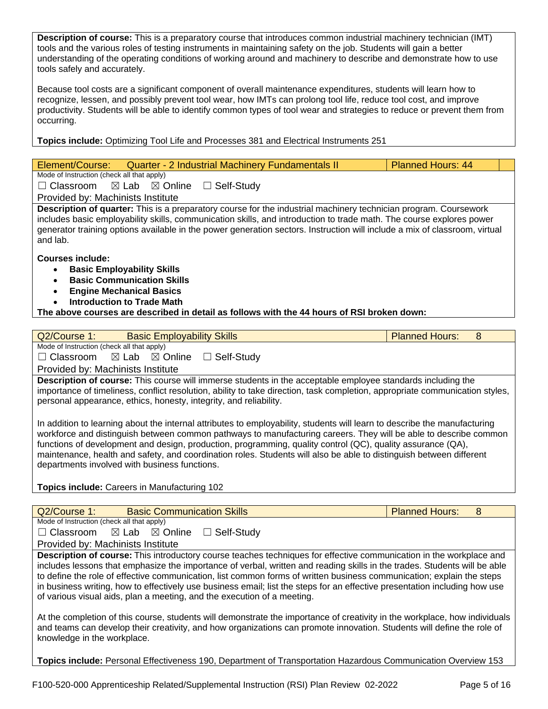**Description of course:** This is a preparatory course that introduces common industrial machinery technician (IMT) tools and the various roles of testing instruments in maintaining safety on the job. Students will gain a better understanding of the operating conditions of working around and machinery to describe and demonstrate how to use tools safely and accurately.

Because tool costs are a significant component of overall maintenance expenditures, students will learn how to recognize, lessen, and possibly prevent tool wear, how IMTs can prolong tool life, reduce tool cost, and improve productivity. Students will be able to identify common types of tool wear and strategies to reduce or prevent them from occurring.

**Topics include:** Optimizing Tool Life and Processes 381 and Electrical Instruments 251

| Element/Course: Quarter - 2 Industrial Machinery Fundamentals II                                                                                                                                                                                                                                                                                                                          | <b>Planned Hours: 44</b> |
|-------------------------------------------------------------------------------------------------------------------------------------------------------------------------------------------------------------------------------------------------------------------------------------------------------------------------------------------------------------------------------------------|--------------------------|
| Mode of Instruction (check all that apply)                                                                                                                                                                                                                                                                                                                                                |                          |
| $\Box$ Classroom $\boxtimes$ Lab $\boxtimes$ Online<br>□ Self-Study                                                                                                                                                                                                                                                                                                                       |                          |
| Provided by: Machinists Institute                                                                                                                                                                                                                                                                                                                                                         |                          |
| <b>Description of quarter:</b> This is a preparatory course for the industrial machinery technician program. Coursework<br>includes basic employability skills, communication skills, and introduction to trade math. The course explores power<br>generator training options available in the power generation sectors. Instruction will include a mix of classroom, virtual<br>and lab. |                          |
| Courses include:<br><b>Basic Employability Skills</b><br>$\bullet$<br><b>Basic Communication Skills</b><br>$\bullet$<br><b>Engine Mechanical Basics</b><br>Introduction to Trade Math<br>$\bullet$                                                                                                                                                                                        |                          |
| The above courses are described in detail as follows with the 44 hours of RSI broken down:                                                                                                                                                                                                                                                                                                |                          |

| Q2/Course 1:<br><b>Basic Employability Skills</b>                                                                            | <b>Planned Hours:</b><br>8 |  |  |  |
|------------------------------------------------------------------------------------------------------------------------------|----------------------------|--|--|--|
| Mode of Instruction (check all that apply)                                                                                   |                            |  |  |  |
| $\Box$ Classroom $\boxtimes$ Lab $\boxtimes$ Online $\Box$ Self-Study                                                        |                            |  |  |  |
| Provided by: Machinists Institute                                                                                            |                            |  |  |  |
| Description of course: This course will immerse students in the acceptable employee standards including the                  |                            |  |  |  |
| importance of timeliness, conflict resolution, ability to take direction, task completion, appropriate communication styles, |                            |  |  |  |
| personal appearance, ethics, honesty, integrity, and reliability.                                                            |                            |  |  |  |
|                                                                                                                              |                            |  |  |  |
| In addition to learning about the internal attributes to employability, students will learn to describe the manufacturing    |                            |  |  |  |
| workforce and distinguish between common pathways to manufacturing careers. They will be able to describe common             |                            |  |  |  |
| functions of development and design, production, programming, quality control (QC), quality assurance (QA),                  |                            |  |  |  |
| maintenance, health and safety, and coordination roles. Students will also be able to distinguish between different          |                            |  |  |  |
| departments involved with business functions.                                                                                |                            |  |  |  |
|                                                                                                                              |                            |  |  |  |
| <b>Topics include: Careers in Manufacturing 102</b>                                                                          |                            |  |  |  |
|                                                                                                                              |                            |  |  |  |
| Q2/Course 1:<br><b>Basic Communication Skills</b>                                                                            | <b>Planned Hours:</b><br>8 |  |  |  |
| Mode of Instruction (check all that apply)                                                                                   |                            |  |  |  |
| $\Box$ Classroom $\Box$ Lab $\Box$ Online<br>$\Box$ Self-Study                                                               |                            |  |  |  |
| Provided by: Machinists Institute                                                                                            |                            |  |  |  |
| <b>Description of course:</b> This introductory course teaches techniques for effective communication in the workplace and   |                            |  |  |  |

**Description of course:** This introductory course teaches techniques for effective communication in the workplace and includes lessons that emphasize the importance of verbal, written and reading skills in the trades. Students will be able to define the role of effective communication, list common forms of written business communication; explain the steps in business writing, how to effectively use business email; list the steps for an effective presentation including how use of various visual aids, plan a meeting, and the execution of a meeting.

At the completion of this course, students will demonstrate the importance of creativity in the workplace, how individuals and teams can develop their creativity, and how organizations can promote innovation. Students will define the role of knowledge in the workplace.

**Topics include:** Personal Effectiveness 190, Department of Transportation Hazardous Communication Overview 153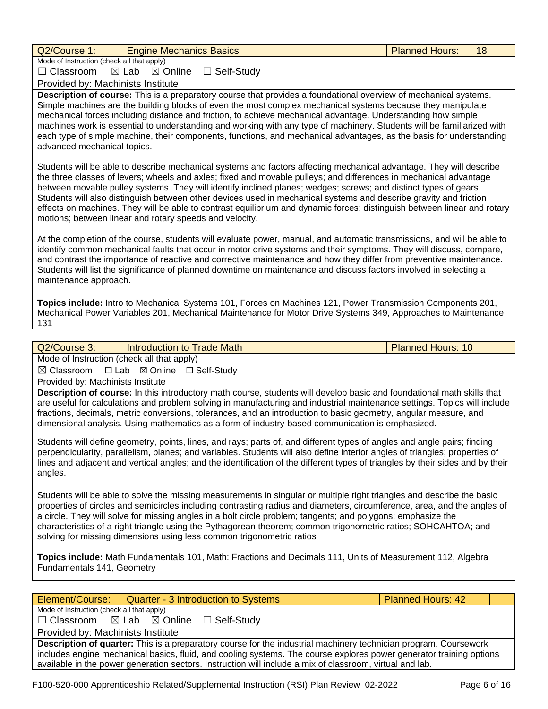| Q2/Course 1:<br><b>Engine Mechanics Basics</b>                                                                                                                                                                                                                                                                                                                                                                                                                                                                                                                                                                                                                           | <b>Planned Hours:</b>    | 18 |  |  |
|--------------------------------------------------------------------------------------------------------------------------------------------------------------------------------------------------------------------------------------------------------------------------------------------------------------------------------------------------------------------------------------------------------------------------------------------------------------------------------------------------------------------------------------------------------------------------------------------------------------------------------------------------------------------------|--------------------------|----|--|--|
| Mode of Instruction (check all that apply)                                                                                                                                                                                                                                                                                                                                                                                                                                                                                                                                                                                                                               |                          |    |  |  |
| $\Box$ Classroom<br>$\boxtimes$ Lab<br>$\Box$ Self-Study<br>$\boxtimes$ Online                                                                                                                                                                                                                                                                                                                                                                                                                                                                                                                                                                                           |                          |    |  |  |
| Provided by: Machinists Institute                                                                                                                                                                                                                                                                                                                                                                                                                                                                                                                                                                                                                                        |                          |    |  |  |
| Description of course: This is a preparatory course that provides a foundational overview of mechanical systems.<br>Simple machines are the building blocks of even the most complex mechanical systems because they manipulate<br>mechanical forces including distance and friction, to achieve mechanical advantage. Understanding how simple<br>machines work is essential to understanding and working with any type of machinery. Students will be familiarized with<br>each type of simple machine, their components, functions, and mechanical advantages, as the basis for understanding<br>advanced mechanical topics.                                          |                          |    |  |  |
| Students will be able to describe mechanical systems and factors affecting mechanical advantage. They will describe<br>the three classes of levers; wheels and axles; fixed and movable pulleys; and differences in mechanical advantage<br>between movable pulley systems. They will identify inclined planes; wedges; screws; and distinct types of gears.<br>Students will also distinguish between other devices used in mechanical systems and describe gravity and friction<br>effects on machines. They will be able to contrast equilibrium and dynamic forces; distinguish between linear and rotary<br>motions; between linear and rotary speeds and velocity. |                          |    |  |  |
| At the completion of the course, students will evaluate power, manual, and automatic transmissions, and will be able to<br>identify common mechanical faults that occur in motor drive systems and their symptoms. They will discuss, compare,<br>and contrast the importance of reactive and corrective maintenance and how they differ from preventive maintenance.<br>Students will list the significance of planned downtime on maintenance and discuss factors involved in selecting a<br>maintenance approach.                                                                                                                                                     |                          |    |  |  |
| Topics include: Intro to Mechanical Systems 101, Forces on Machines 121, Power Transmission Components 201,<br>Mechanical Power Variables 201, Mechanical Maintenance for Motor Drive Systems 349, Approaches to Maintenance<br>131                                                                                                                                                                                                                                                                                                                                                                                                                                      |                          |    |  |  |
|                                                                                                                                                                                                                                                                                                                                                                                                                                                                                                                                                                                                                                                                          |                          |    |  |  |
| Q2/Course 3:<br><b>Introduction to Trade Math</b><br>Mode of Instruction (check all that apply)                                                                                                                                                                                                                                                                                                                                                                                                                                                                                                                                                                          | <b>Planned Hours: 10</b> |    |  |  |
| □ Lab ⊠ Online □ Self-Study<br>$\boxtimes$ Classroom                                                                                                                                                                                                                                                                                                                                                                                                                                                                                                                                                                                                                     |                          |    |  |  |
| Provided by: Machinists Institute                                                                                                                                                                                                                                                                                                                                                                                                                                                                                                                                                                                                                                        |                          |    |  |  |
| Description of course: In this introductory math course, students will develop basic and foundational math skills that<br>are useful for calculations and problem solving in manufacturing and industrial maintenance settings. Topics will include<br>fractions, decimals, metric conversions, tolerances, and an introduction to basic geometry, angular measure, and<br>dimensional analysis. Using mathematics as a form of industry-based communication is emphasized.                                                                                                                                                                                              |                          |    |  |  |
| Students will define geometry, points, lines, and rays; parts of, and different types of angles and angle pairs; finding<br>perpendicularity, parallelism, planes; and variables. Students will also define interior angles of triangles; properties of<br>lines and adjacent and vertical angles; and the identification of the different types of triangles by their sides and by their<br>angles.                                                                                                                                                                                                                                                                     |                          |    |  |  |
| Students will be able to solve the missing measurements in singular or multiple right triangles and describe the basic<br>properties of circles and semicircles including contrasting radius and diameters, circumference, area, and the angles of<br>a circle. They will solve for missing angles in a bolt circle problem; tangents; and polygons; emphasize the<br>characteristics of a right triangle using the Pythagorean theorem; common trigonometric ratios; SOHCAHTOA; and<br>solving for missing dimensions using less common trigonometric ratios                                                                                                            |                          |    |  |  |
| Topics include: Math Fundamentals 101, Math: Fractions and Decimals 111, Units of Measurement 112, Algebra<br>Fundamentals 141, Geometry                                                                                                                                                                                                                                                                                                                                                                                                                                                                                                                                 |                          |    |  |  |

Element/Course: Quarter - 3 Introduction to Systems Planned Hours: 42 Mode of Instruction (check all that apply) ☐ Classroom ☒ Lab ☒ Online ☐ Self-Study Provided by: Machinists Institute **Description of quarter:** This is a preparatory course for the industrial machinery technician program. Coursework includes engine mechanical basics, fluid, and cooling systems. The course explores power generator training options available in the power generation sectors. Instruction will include a mix of classroom, virtual and lab.

F100-520-000 Apprenticeship Related/Supplemental Instruction (RSI) Plan Review 02-2022 Page 6 of 16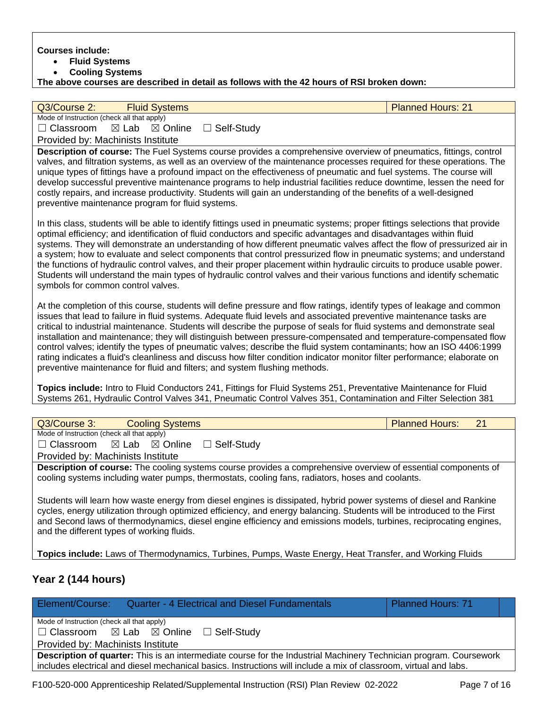**Courses include:**

- **Fluid Systems**
- **Cooling Systems**

**The above courses are described in detail as follows with the 42 hours of RSI broken down:**

#### Q3/Course 2: Fluid Systems Planned Hours: 21

Mode of Instruction (check all that apply) ☐ Classroom ☒ Lab ☒ Online ☐ Self-Study

Provided by: Machinists Institute

**Description of course:** The Fuel Systems course provides a comprehensive overview of pneumatics, fittings, control valves, and filtration systems, as well as an overview of the maintenance processes required for these operations. The unique types of fittings have a profound impact on the effectiveness of pneumatic and fuel systems. The course will develop successful preventive maintenance programs to help industrial facilities reduce downtime, lessen the need for costly repairs, and increase productivity. Students will gain an understanding of the benefits of a well-designed preventive maintenance program for fluid systems.

In this class, students will be able to identify fittings used in pneumatic systems; proper fittings selections that provide optimal efficiency; and identification of fluid conductors and specific advantages and disadvantages within fluid systems. They will demonstrate an understanding of how different pneumatic valves affect the flow of pressurized air in a system; how to evaluate and select components that control pressurized flow in pneumatic systems; and understand the functions of hydraulic control valves, and their proper placement within hydraulic circuits to produce usable power. Students will understand the main types of hydraulic control valves and their various functions and identify schematic symbols for common control valves.

At the completion of this course, students will define pressure and flow ratings, identify types of leakage and common issues that lead to failure in fluid systems. Adequate fluid levels and associated preventive maintenance tasks are critical to industrial maintenance. Students will describe the purpose of seals for fluid systems and demonstrate seal installation and maintenance; they will distinguish between pressure-compensated and temperature-compensated flow control valves; identify the types of pneumatic valves; describe the fluid system contaminants; how an ISO 4406:1999 rating indicates a fluid's cleanliness and discuss how filter condition indicator monitor filter performance; elaborate on preventive maintenance for fluid and filters; and system flushing methods.

**Topics include:** Intro to Fluid Conductors 241, Fittings for Fluid Systems 251, Preventative Maintenance for Fluid Systems 261, Hydraulic Control Valves 341, Pneumatic Control Valves 351, Contamination and Filter Selection 381

| Q3/Course 3:                                                                                                                                                                                                                                                                                                                                                                                                      | <b>Cooling Systems</b> |                   | <b>Planned Hours:</b> | 21 |
|-------------------------------------------------------------------------------------------------------------------------------------------------------------------------------------------------------------------------------------------------------------------------------------------------------------------------------------------------------------------------------------------------------------------|------------------------|-------------------|-----------------------|----|
| Mode of Instruction (check all that apply)                                                                                                                                                                                                                                                                                                                                                                        |                        |                   |                       |    |
| $\Box$ Classroom $\boxtimes$ Lab $\boxtimes$ Online                                                                                                                                                                                                                                                                                                                                                               |                        | $\Box$ Self-Study |                       |    |
| Provided by: Machinists Institute                                                                                                                                                                                                                                                                                                                                                                                 |                        |                   |                       |    |
| <b>Description of course:</b> The cooling systems course provides a comprehensive overview of essential components of<br>cooling systems including water pumps, thermostats, cooling fans, radiators, hoses and coolants.                                                                                                                                                                                         |                        |                   |                       |    |
| Students will learn how waste energy from diesel engines is dissipated, hybrid power systems of diesel and Rankine<br>cycles, energy utilization through optimized efficiency, and energy balancing. Students will be introduced to the First<br>and Second laws of thermodynamics, diesel engine efficiency and emissions models, turbines, reciprocating engines,<br>and the different types of working fluids. |                        |                   |                       |    |

**Topics include:** Laws of Thermodynamics, Turbines, Pumps, Waste Energy, Heat Transfer, and Working Fluids

### **Year 2 (144 hours)**

Element/Course: Quarter - 4 Electrical and Diesel Fundamentals Planned Hours: 71 Mode of Instruction (check all that apply) ☐ Classroom ☒ Lab ☒ Online ☐ Self-Study Provided by: Machinists Institute **Description of quarter:** This is an intermediate course for the Industrial Machinery Technician program. Coursework includes electrical and diesel mechanical basics. Instructions will include a mix of classroom, virtual and labs.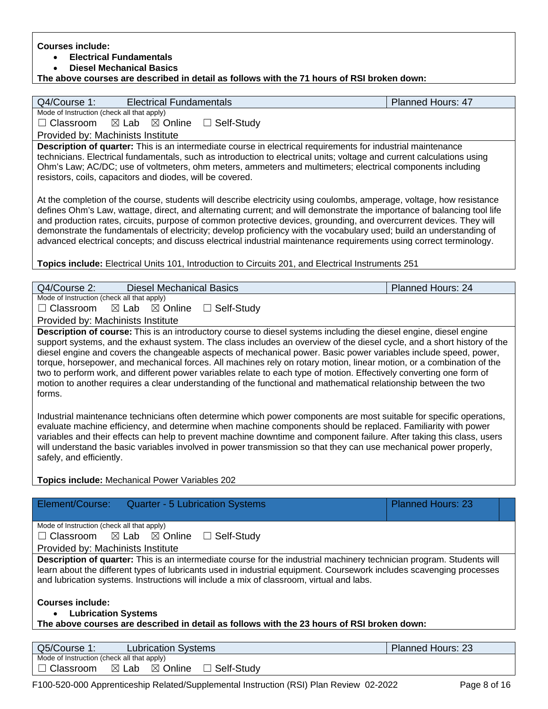**Courses include:**

• **Electrical Fundamentals** 

• **Diesel Mechanical Basics** 

**The above courses are described in detail as follows with the 71 hours of RSI broken down:**

| Q4/Course 1:<br><b>Electrical Fundamentals</b>                                                                                                                                                                                                   | <b>Planned Hours: 47</b> |
|--------------------------------------------------------------------------------------------------------------------------------------------------------------------------------------------------------------------------------------------------|--------------------------|
| Mode of Instruction (check all that apply)                                                                                                                                                                                                       |                          |
| $\Box$ Classroom<br>$\boxtimes$ Online<br>$\boxtimes$ Lab<br>□ Self-Study                                                                                                                                                                        |                          |
| Provided by: Machinists Institute                                                                                                                                                                                                                |                          |
| Description of quarter: This is an intermediate course in electrical requirements for industrial maintenance                                                                                                                                     |                          |
| technicians. Electrical fundamentals, such as introduction to electrical units; voltage and current calculations using                                                                                                                           |                          |
| Ohm's Law; AC/DC; use of voltmeters, ohm meters, ammeters and multimeters; electrical components including                                                                                                                                       |                          |
| resistors, coils, capacitors and diodes, will be covered.                                                                                                                                                                                        |                          |
|                                                                                                                                                                                                                                                  |                          |
| At the completion of the course, students will describe electricity using coulombs, amperage, voltage, how resistance<br>defines Ohm's Law, wattage, direct, and alternating current; and will demonstrate the importance of balancing tool life |                          |
| and production rates, circuits, purpose of common protective devices, grounding, and overcurrent devices. They will                                                                                                                              |                          |
| demonstrate the fundamentals of electricity; develop proficiency with the vocabulary used; build an understanding of                                                                                                                             |                          |
| advanced electrical concepts; and discuss electrical industrial maintenance requirements using correct terminology.                                                                                                                              |                          |
|                                                                                                                                                                                                                                                  |                          |
| Topics include: Electrical Units 101, Introduction to Circuits 201, and Electrical Instruments 251                                                                                                                                               |                          |
|                                                                                                                                                                                                                                                  |                          |
| Q4/Course 2:<br><b>Diesel Mechanical Basics</b>                                                                                                                                                                                                  | Planned Hours: 24        |
| Mode of Instruction (check all that apply)                                                                                                                                                                                                       |                          |
| Classroom<br>$\boxtimes$ Online<br>□ Self-Study<br>$\boxtimes$ Lab                                                                                                                                                                               |                          |
| Provided by: Machinists Institute                                                                                                                                                                                                                |                          |
| Description of course: This is an introductory course to diesel systems including the diesel engine, diesel engine<br>support systems, and the exhaust system. The class includes an overview of the diesel cycle, and a short history of the    |                          |
| diesel engine and covers the changeable aspects of mechanical power. Basic power variables include speed, power,                                                                                                                                 |                          |
| torque, horsepower, and mechanical forces. All machines rely on rotary motion, linear motion, or a combination of the                                                                                                                            |                          |
| two to perform work, and different power variables relate to each type of motion. Effectively converting one form of                                                                                                                             |                          |
| motion to another requires a clear understanding of the functional and mathematical relationship between the two                                                                                                                                 |                          |
| forms.                                                                                                                                                                                                                                           |                          |
|                                                                                                                                                                                                                                                  |                          |
| Industrial maintenance technicians often determine which power components are most suitable for specific operations,                                                                                                                             |                          |
| evaluate machine efficiency, and determine when machine components should be replaced. Familiarity with power                                                                                                                                    |                          |
| variables and their effects can help to prevent machine downtime and component failure. After taking this class, users<br>will understand the basic variables involved in power transmission so that they can use mechanical power properly,     |                          |
| safely, and efficiently.                                                                                                                                                                                                                         |                          |
|                                                                                                                                                                                                                                                  |                          |
| <b>Topics include: Mechanical Power Variables 202</b>                                                                                                                                                                                            |                          |
|                                                                                                                                                                                                                                                  |                          |
| Element/Course:<br><b>Quarter - 5 Lubrication Systems</b>                                                                                                                                                                                        | <b>Planned Hours: 23</b> |
|                                                                                                                                                                                                                                                  |                          |
| Mode of Instruction (check all that apply)<br>Classroom<br>$\boxtimes$ Online<br>$\boxtimes$ Lab                                                                                                                                                 |                          |
| $\Box$ Self-Study<br>$\Box$                                                                                                                                                                                                                      |                          |
| Provided by: Machinists Institute<br>Description of quarter: This is an intermediate course for the industrial machinery technician program. Students will                                                                                       |                          |
| learn about the different types of lubricants used in industrial equipment. Coursework includes scavenging processes                                                                                                                             |                          |
| and lubrication systems. Instructions will include a mix of classroom, virtual and labs.                                                                                                                                                         |                          |
|                                                                                                                                                                                                                                                  |                          |
| <b>Courses include:</b>                                                                                                                                                                                                                          |                          |
| <b>Lubrication Systems</b>                                                                                                                                                                                                                       |                          |
| The above courses are described in detail as follows with the 23 hours of RSI broken down:                                                                                                                                                       |                          |
|                                                                                                                                                                                                                                                  |                          |
| Q5/Course 1:<br><b>Lubrication Systems</b><br>Mode of Instruction (check all that apply)                                                                                                                                                         | <b>Planned Hours: 23</b> |
| Classroom<br>⊠ Online<br>$\boxtimes$ Lab<br>Self-Study                                                                                                                                                                                           |                          |
|                                                                                                                                                                                                                                                  |                          |
| F100-520-000 Apprenticeship Related/Supplemental Instruction (RSI) Plan Review 02-2022                                                                                                                                                           | Page 8 of 16             |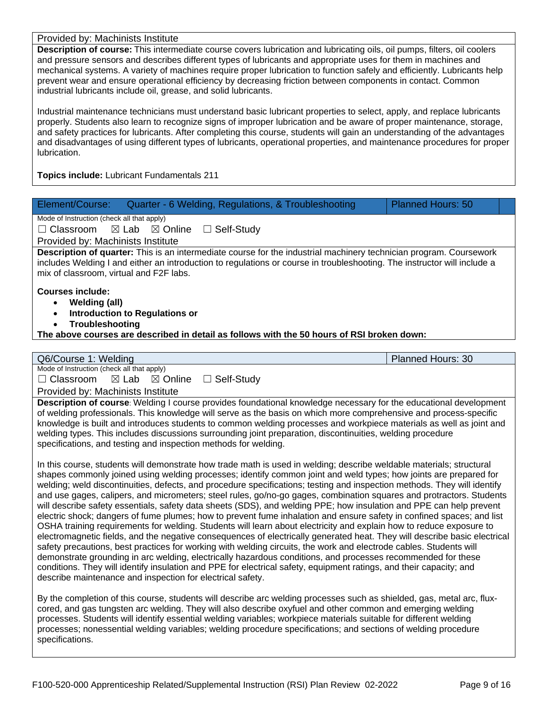Provided by: Machinists Institute

**Description of course:** This intermediate course covers lubrication and lubricating oils, oil pumps, filters, oil coolers and pressure sensors and describes different types of lubricants and appropriate uses for them in machines and mechanical systems. A variety of machines require proper lubrication to function safely and efficiently. Lubricants help prevent wear and ensure operational efficiency by decreasing friction between components in contact. Common industrial lubricants include oil, grease, and solid lubricants.

Industrial maintenance technicians must understand basic lubricant properties to select, apply, and replace lubricants properly. Students also learn to recognize signs of improper lubrication and be aware of proper maintenance, storage, and safety practices for lubricants. After completing this course, students will gain an understanding of the advantages and disadvantages of using different types of lubricants, operational properties, and maintenance procedures for proper lubrication.

**Topics include:** Lubricant Fundamentals 211

| Element/Course:<br>Quarter - 6 Welding, Regulations, & Troubleshooting<br><b>Planned Hours: 50</b>                       |  |  |  |  |  |  |
|--------------------------------------------------------------------------------------------------------------------------|--|--|--|--|--|--|
| Mode of Instruction (check all that apply)                                                                               |  |  |  |  |  |  |
| $\boxtimes$ Lab $\boxtimes$ Online $\Box$ Self-Study<br>$\Box$ Classroom                                                 |  |  |  |  |  |  |
| Provided by: Machinists Institute                                                                                        |  |  |  |  |  |  |
| Description of quarter: This is an intermediate course for the industrial machinery technician program. Coursework       |  |  |  |  |  |  |
| includes Welding I and either an introduction to regulations or course in troubleshooting. The instructor will include a |  |  |  |  |  |  |
| mix of classroom, virtual and F2F labs.                                                                                  |  |  |  |  |  |  |
|                                                                                                                          |  |  |  |  |  |  |
| <b>Courses include:</b>                                                                                                  |  |  |  |  |  |  |
| <b>Welding (all)</b><br>$\bullet$                                                                                        |  |  |  |  |  |  |
| <b>Introduction to Regulations or</b><br>$\bullet$                                                                       |  |  |  |  |  |  |
| Troubleshooting<br>The above courses are described in detail as follows with the 50 hours of RSI broken down:            |  |  |  |  |  |  |
|                                                                                                                          |  |  |  |  |  |  |
|                                                                                                                          |  |  |  |  |  |  |
| Q6/Course 1: Welding<br><b>Planned Hours: 30</b><br>Mode of Instruction (check all that apply)                           |  |  |  |  |  |  |
| $\Box$ Classroom $\boxtimes$ Lab $\boxtimes$ Online<br>□ Self-Study                                                      |  |  |  |  |  |  |
|                                                                                                                          |  |  |  |  |  |  |
| Provided by: Machinists Institute                                                                                        |  |  |  |  |  |  |
| Description of course: Welding I course provides foundational knowledge necessary for the educational development        |  |  |  |  |  |  |
| of welding professionals. This knowledge will serve as the basis on which more comprehensive and process-specific        |  |  |  |  |  |  |
|                                                                                                                          |  |  |  |  |  |  |
| knowledge is built and introduces students to common welding processes and workpiece materials as well as joint and      |  |  |  |  |  |  |
| welding types. This includes discussions surrounding joint preparation, discontinuities, welding procedure               |  |  |  |  |  |  |
| specifications, and testing and inspection methods for welding.                                                          |  |  |  |  |  |  |
| In this course, students will demonstrate how trade math is used in welding; describe weldable materials; structural     |  |  |  |  |  |  |
| shapes commonly joined using welding processes; identify common joint and weld types; how joints are prepared for        |  |  |  |  |  |  |

welding; weld discontinuities, defects, and procedure specifications; testing and inspection methods. They will identify and use gages, calipers, and micrometers; steel rules, go/no-go gages, combination squares and protractors. Students will describe safety essentials, safety data sheets (SDS), and welding PPE; how insulation and PPE can help prevent electric shock; dangers of fume plumes; how to prevent fume inhalation and ensure safety in confined spaces; and list OSHA training requirements for welding. Students will learn about electricity and explain how to reduce exposure to electromagnetic fields, and the negative consequences of electrically generated heat. They will describe basic electrical safety precautions, best practices for working with welding circuits, the work and electrode cables. Students will demonstrate grounding in arc welding, electrically hazardous conditions, and processes recommended for these conditions. They will identify insulation and PPE for electrical safety, equipment ratings, and their capacity; and describe maintenance and inspection for electrical safety.

By the completion of this course, students will describe arc welding processes such as shielded, gas, metal arc, fluxcored, and gas tungsten arc welding. They will also describe oxyfuel and other common and emerging welding processes. Students will identify essential welding variables; workpiece materials suitable for different welding processes; nonessential welding variables; welding procedure specifications; and sections of welding procedure specifications.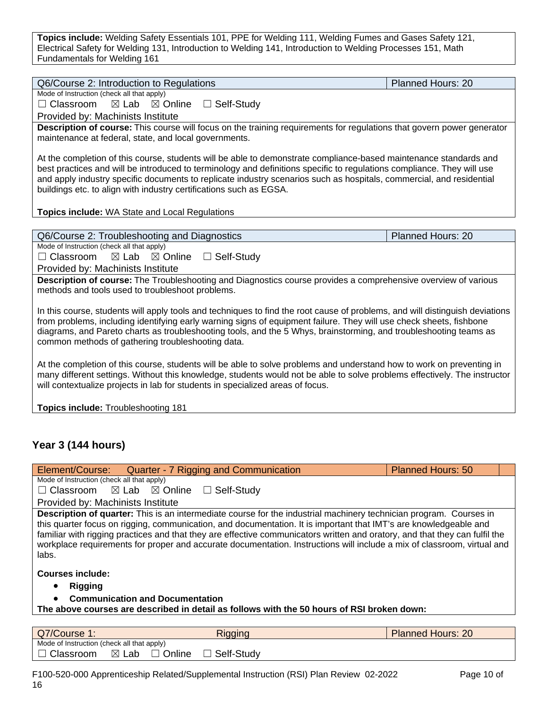**Topics include:** Welding Safety Essentials 101, PPE for Welding 111, Welding Fumes and Gases Safety 121, Electrical Safety for Welding 131, Introduction to Welding 141, Introduction to Welding Processes 151, Math Fundamentals for Welding 161

| Q6/Course 2: Introduction to Regulations                                                                                                                                                                                                            | Planned Hours: 20        |  |  |  |
|-----------------------------------------------------------------------------------------------------------------------------------------------------------------------------------------------------------------------------------------------------|--------------------------|--|--|--|
| Mode of Instruction (check all that apply)                                                                                                                                                                                                          |                          |  |  |  |
| $\Box$ Classroom<br>$\boxtimes$ Lab<br>$\boxtimes$ Online<br>□ Self-Study                                                                                                                                                                           |                          |  |  |  |
| Provided by: Machinists Institute                                                                                                                                                                                                                   |                          |  |  |  |
| Description of course: This course will focus on the training requirements for regulations that govern power generator                                                                                                                              |                          |  |  |  |
| maintenance at federal, state, and local governments.                                                                                                                                                                                               |                          |  |  |  |
|                                                                                                                                                                                                                                                     |                          |  |  |  |
| At the completion of this course, students will be able to demonstrate compliance-based maintenance standards and<br>best practices and will be introduced to terminology and definitions specific to regulations compliance. They will use         |                          |  |  |  |
| and apply industry specific documents to replicate industry scenarios such as hospitals, commercial, and residential                                                                                                                                |                          |  |  |  |
| buildings etc. to align with industry certifications such as EGSA.                                                                                                                                                                                  |                          |  |  |  |
|                                                                                                                                                                                                                                                     |                          |  |  |  |
| <b>Topics include: WA State and Local Regulations</b>                                                                                                                                                                                               |                          |  |  |  |
|                                                                                                                                                                                                                                                     |                          |  |  |  |
| Q6/Course 2: Troubleshooting and Diagnostics                                                                                                                                                                                                        | Planned Hours: 20        |  |  |  |
| Mode of Instruction (check all that apply)                                                                                                                                                                                                          |                          |  |  |  |
| $\Box$ Classroom<br>$\boxtimes$ Lab<br>$\boxtimes$ Online<br>$\Box$ Self-Study                                                                                                                                                                      |                          |  |  |  |
| Provided by: Machinists Institute                                                                                                                                                                                                                   |                          |  |  |  |
| Description of course: The Troubleshooting and Diagnostics course provides a comprehensive overview of various                                                                                                                                      |                          |  |  |  |
| methods and tools used to troubleshoot problems.                                                                                                                                                                                                    |                          |  |  |  |
|                                                                                                                                                                                                                                                     |                          |  |  |  |
| In this course, students will apply tools and techniques to find the root cause of problems, and will distinguish deviations<br>from problems, including identifying early warning signs of equipment failure. They will use check sheets, fishbone |                          |  |  |  |
| diagrams, and Pareto charts as troubleshooting tools, and the 5 Whys, brainstorming, and troubleshooting teams as                                                                                                                                   |                          |  |  |  |
| common methods of gathering troubleshooting data.                                                                                                                                                                                                   |                          |  |  |  |
|                                                                                                                                                                                                                                                     |                          |  |  |  |
| At the completion of this course, students will be able to solve problems and understand how to work on preventing in                                                                                                                               |                          |  |  |  |
| many different settings. Without this knowledge, students would not be able to solve problems effectively. The instructor                                                                                                                           |                          |  |  |  |
| will contextualize projects in lab for students in specialized areas of focus.                                                                                                                                                                      |                          |  |  |  |
|                                                                                                                                                                                                                                                     |                          |  |  |  |
| Topics include: Troubleshooting 181                                                                                                                                                                                                                 |                          |  |  |  |
|                                                                                                                                                                                                                                                     |                          |  |  |  |
|                                                                                                                                                                                                                                                     |                          |  |  |  |
| Year 3 (144 hours)                                                                                                                                                                                                                                  |                          |  |  |  |
|                                                                                                                                                                                                                                                     |                          |  |  |  |
| Quarter - 7 Rigging and Communication<br>Element/Course:                                                                                                                                                                                            | <b>Planned Hours: 50</b> |  |  |  |
| Mode of Instruction (check all that apply)                                                                                                                                                                                                          |                          |  |  |  |
| $\boxtimes$ Lab<br>$\boxtimes$ Online<br>□ Self-Study<br>$\Box$ Classroom                                                                                                                                                                           |                          |  |  |  |
| Provided by: Machinists Institute                                                                                                                                                                                                                   |                          |  |  |  |
| Description of quarter: This is an intermediate course for the industrial machinery technician program. Courses in                                                                                                                                  |                          |  |  |  |
| this quarter focus on rigging, communication, and documentation. It is important that IMT's are knowledgeable and                                                                                                                                   |                          |  |  |  |
| familiar with rigging practices and that they are effective communicators written and oratory, and that they can fulfil the                                                                                                                         |                          |  |  |  |
| workplace requirements for proper and accurate documentation. Instructions will include a mix of classroom, virtual and                                                                                                                             |                          |  |  |  |
| labs.                                                                                                                                                                                                                                               |                          |  |  |  |
| <b>Courses include:</b>                                                                                                                                                                                                                             |                          |  |  |  |

- **Rigging**
- **Communication and Documentation**

**The above courses are described in detail as follows with the 50 hours of RSI broken down:**

| Q7/Course 1:                               |       |        | Rigging    | <b>Planned Hours: 20</b> |
|--------------------------------------------|-------|--------|------------|--------------------------|
| Mode of Instruction (check all that apply) |       |        |            |                          |
| Classroom                                  | ⊠ Lab | Online | Self-Study |                          |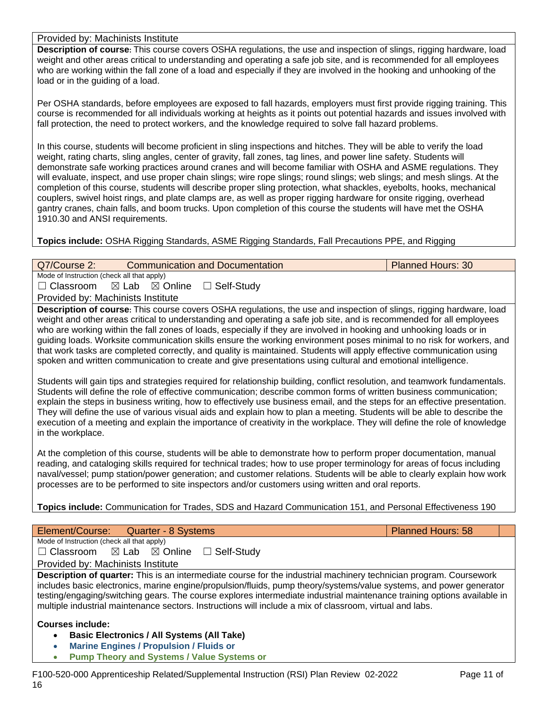Provided by: Machinists Institute

**Description of course:** This course covers OSHA regulations, the use and inspection of slings, rigging hardware, load weight and other areas critical to understanding and operating a safe job site, and is recommended for all employees who are working within the fall zone of a load and especially if they are involved in the hooking and unhooking of the load or in the guiding of a load.

Per OSHA standards, before employees are exposed to fall hazards, employers must first provide rigging training. This course is recommended for all individuals working at heights as it points out potential hazards and issues involved with fall protection, the need to protect workers, and the knowledge required to solve fall hazard problems.

In this course, students will become proficient in sling inspections and hitches. They will be able to verify the load weight, rating charts, sling angles, center of gravity, fall zones, tag lines, and power line safety. Students will demonstrate safe working practices around cranes and will become familiar with OSHA and ASME regulations. They will evaluate, inspect, and use proper chain slings; wire rope slings; round slings; web slings; and mesh slings. At the completion of this course, students will describe proper sling protection, what shackles, eyebolts, hooks, mechanical couplers, swivel hoist rings, and plate clamps are, as well as proper rigging hardware for onsite rigging, overhead gantry cranes, chain falls, and boom trucks. Upon completion of this course the students will have met the OSHA 1910.30 and ANSI requirements.

**Topics include:** OSHA Rigging Standards, ASME Rigging Standards, Fall Precautions PPE, and Rigging

| Q7/Course 2:                               |                                    | <b>Communication and Documentation</b>                                                                                                                                                                                                                                                                                                                                                                                                                                                                                                                                                                                        | <b>Planned Hours: 30</b> |
|--------------------------------------------|------------------------------------|-------------------------------------------------------------------------------------------------------------------------------------------------------------------------------------------------------------------------------------------------------------------------------------------------------------------------------------------------------------------------------------------------------------------------------------------------------------------------------------------------------------------------------------------------------------------------------------------------------------------------------|--------------------------|
| Mode of Instruction (check all that apply) |                                    |                                                                                                                                                                                                                                                                                                                                                                                                                                                                                                                                                                                                                               |                          |
| $\Box$ Classroom                           | $\boxtimes$ Lab $\boxtimes$ Online | $\Box$ Self-Study                                                                                                                                                                                                                                                                                                                                                                                                                                                                                                                                                                                                             |                          |
| Provided by: Machinists Institute          |                                    |                                                                                                                                                                                                                                                                                                                                                                                                                                                                                                                                                                                                                               |                          |
|                                            |                                    | <b>Description of course:</b> This course covers OSHA regulations, the use and inspection of slings, rigging hardware, load<br>weight and other areas critical to understanding and operating a safe job site, and is recommended for all employees<br>who are working within the fall zones of loads, especially if they are involved in hooking and unhooking loads or in<br>quiding loads. Worksite communication skills ensure the working environment poses minimal to no risk for workers, and<br>that work tasks are completed correctly, and quality is maintained. Students will apply effective communication using |                          |
|                                            |                                    | spoken and written communication to create and give presentations using cultural and emotional intelligence.<br>Students will gain tips and strategies required for relationship building, conflict resolution, and teamwork fundamentals.                                                                                                                                                                                                                                                                                                                                                                                    |                          |
|                                            |                                    | Students will define the role of effective communication; describe common forms of written business communication;<br>explain the steps in business writing, how to effectively use business email, and the steps for an effective presentation.<br>They will define the use of various visual aids and explain how to plan a meeting. Students will be able to describe the<br>execution of a meeting and explain the importance of creativity in the workplace. They will define the role of knowledge                                                                                                                      |                          |

in the workplace. At the completion of this course, students will be able to demonstrate how to perform proper documentation, manual reading, and cataloging skills required for technical trades; how to use proper terminology for areas of focus including naval/vessel; pump station/power generation; and customer relations. Students will be able to clearly explain how work

**Topics include:** Communication for Trades, SDS and Hazard Communication 151, and Personal Effectiveness 190

processes are to be performed to site inspectors and/or customers using written and oral reports.

| Element/Course: Quarter - 8 Systems                                                                                                                                                                                                                                                                                                                                                                                                                                              | <b>Planned Hours: 58</b> |
|----------------------------------------------------------------------------------------------------------------------------------------------------------------------------------------------------------------------------------------------------------------------------------------------------------------------------------------------------------------------------------------------------------------------------------------------------------------------------------|--------------------------|
| Mode of Instruction (check all that apply)                                                                                                                                                                                                                                                                                                                                                                                                                                       |                          |
| $\Box$ Classroom $\Box$ Lab $\Box$ Online<br>$\Box$ Self-Study                                                                                                                                                                                                                                                                                                                                                                                                                   |                          |
| Provided by: Machinists Institute                                                                                                                                                                                                                                                                                                                                                                                                                                                |                          |
| Description of quarter: This is an intermediate course for the industrial machinery technician program. Coursework<br>includes basic electronics, marine engine/propulsion/fluids, pump theory/systems/value systems, and power generator<br>testing/engaging/switching gears. The course explores intermediate industrial maintenance training options available in<br>multiple industrial maintenance sectors. Instructions will include a mix of classroom, virtual and labs. |                          |
| <b>Courses include:</b><br><b>Basic Electronics / All Systems (All Take)</b><br>$\bullet$<br><b>Marine Engines / Propulsion / Fluids or</b><br>$\bullet$                                                                                                                                                                                                                                                                                                                         |                          |

• **Pump Theory and Systems / Value Systems or**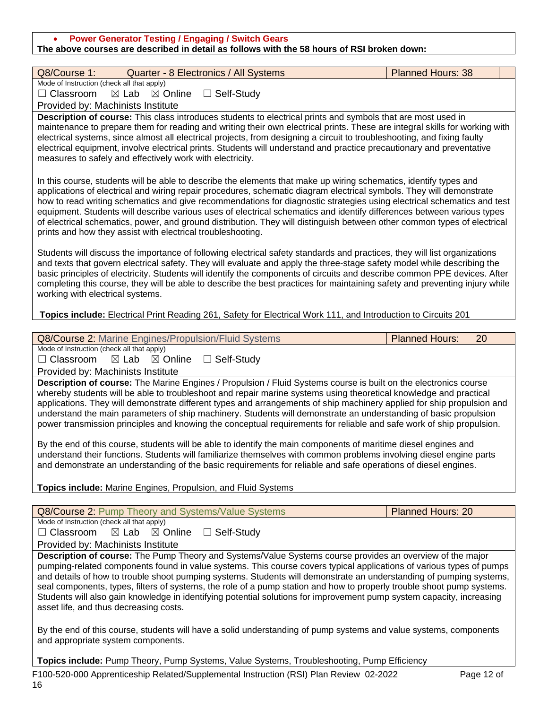| <b>Power Generator Testing / Engaging / Switch Gears</b><br>The above courses are described in detail as follows with the 58 hours of RSI broken down:                                                                                                                                                                                                                                                                                                                                                                                                                                                                                                                                                                                                                                                                                                |                             |  |  |  |  |
|-------------------------------------------------------------------------------------------------------------------------------------------------------------------------------------------------------------------------------------------------------------------------------------------------------------------------------------------------------------------------------------------------------------------------------------------------------------------------------------------------------------------------------------------------------------------------------------------------------------------------------------------------------------------------------------------------------------------------------------------------------------------------------------------------------------------------------------------------------|-----------------------------|--|--|--|--|
| Q8/Course 1:                                                                                                                                                                                                                                                                                                                                                                                                                                                                                                                                                                                                                                                                                                                                                                                                                                          | <b>Planned Hours: 38</b>    |  |  |  |  |
| Quarter - 8 Electronics / All Systems<br>Mode of Instruction (check all that apply)                                                                                                                                                                                                                                                                                                                                                                                                                                                                                                                                                                                                                                                                                                                                                                   |                             |  |  |  |  |
| $\Box$ Classroom<br>$\boxtimes$ Lab<br>$\boxtimes$ Online<br>$\Box$ Self-Study                                                                                                                                                                                                                                                                                                                                                                                                                                                                                                                                                                                                                                                                                                                                                                        |                             |  |  |  |  |
| Provided by: Machinists Institute                                                                                                                                                                                                                                                                                                                                                                                                                                                                                                                                                                                                                                                                                                                                                                                                                     |                             |  |  |  |  |
| Description of course: This class introduces students to electrical prints and symbols that are most used in<br>maintenance to prepare them for reading and writing their own electrical prints. These are integral skills for working with<br>electrical systems, since almost all electrical projects, from designing a circuit to troubleshooting, and fixing faulty<br>electrical equipment, involve electrical prints. Students will understand and practice precautionary and preventative<br>measures to safely and effectively work with electricity.                                                                                                                                                                                                                                                                                         |                             |  |  |  |  |
| In this course, students will be able to describe the elements that make up wiring schematics, identify types and<br>applications of electrical and wiring repair procedures, schematic diagram electrical symbols. They will demonstrate<br>how to read writing schematics and give recommendations for diagnostic strategies using electrical schematics and test<br>equipment. Students will describe various uses of electrical schematics and identify differences between various types<br>of electrical schematics, power, and ground distribution. They will distinguish between other common types of electrical<br>prints and how they assist with electrical troubleshooting.                                                                                                                                                              |                             |  |  |  |  |
| Students will discuss the importance of following electrical safety standards and practices, they will list organizations<br>and texts that govern electrical safety. They will evaluate and apply the three-stage safety model while describing the<br>basic principles of electricity. Students will identify the components of circuits and describe common PPE devices. After<br>completing this course, they will be able to describe the best practices for maintaining safety and preventing injury while<br>working with electrical systems.                                                                                                                                                                                                                                                                                                  |                             |  |  |  |  |
| Topics include: Electrical Print Reading 261, Safety for Electrical Work 111, and Introduction to Circuits 201                                                                                                                                                                                                                                                                                                                                                                                                                                                                                                                                                                                                                                                                                                                                        |                             |  |  |  |  |
| Q8/Course 2: Marine Engines/Propulsion/Fluid Systems                                                                                                                                                                                                                                                                                                                                                                                                                                                                                                                                                                                                                                                                                                                                                                                                  | <b>Planned Hours:</b><br>20 |  |  |  |  |
| Mode of Instruction (check all that apply)                                                                                                                                                                                                                                                                                                                                                                                                                                                                                                                                                                                                                                                                                                                                                                                                            |                             |  |  |  |  |
| $\Box$ Classroom<br>$\boxtimes$ Lab<br>$\boxtimes$ Online<br>$\Box$ Self-Study                                                                                                                                                                                                                                                                                                                                                                                                                                                                                                                                                                                                                                                                                                                                                                        |                             |  |  |  |  |
| Provided by: Machinists Institute                                                                                                                                                                                                                                                                                                                                                                                                                                                                                                                                                                                                                                                                                                                                                                                                                     |                             |  |  |  |  |
| Description of course: The Marine Engines / Propulsion / Fluid Systems course is built on the electronics course<br>whereby students will be able to troubleshoot and repair marine systems using theoretical knowledge and practical<br>applications. They will demonstrate different types and arrangements of ship machinery applied for ship propulsion and<br>understand the main parameters of ship machinery. Students will demonstrate an understanding of basic propulsion<br>power transmission principles and knowing the conceptual requirements for reliable and safe work of ship propulsion.<br>By the end of this course, students will be able to identify the main components of maritime diesel engines and<br>understand their functions. Students will familiarize themselves with common problems involving diesel engine parts |                             |  |  |  |  |
| and demonstrate an understanding of the basic requirements for reliable and safe operations of diesel engines.                                                                                                                                                                                                                                                                                                                                                                                                                                                                                                                                                                                                                                                                                                                                        |                             |  |  |  |  |
| Topics include: Marine Engines, Propulsion, and Fluid Systems                                                                                                                                                                                                                                                                                                                                                                                                                                                                                                                                                                                                                                                                                                                                                                                         |                             |  |  |  |  |
| Q8/Course 2: Pump Theory and Systems/Value Systems                                                                                                                                                                                                                                                                                                                                                                                                                                                                                                                                                                                                                                                                                                                                                                                                    | <b>Planned Hours: 20</b>    |  |  |  |  |
| Mode of Instruction (check all that apply)                                                                                                                                                                                                                                                                                                                                                                                                                                                                                                                                                                                                                                                                                                                                                                                                            |                             |  |  |  |  |
| $\Box$ Classroom<br>$\boxtimes$ Lab<br>$\boxtimes$ Online<br>$\Box$ Self-Study                                                                                                                                                                                                                                                                                                                                                                                                                                                                                                                                                                                                                                                                                                                                                                        |                             |  |  |  |  |
| Provided by: Machinists Institute                                                                                                                                                                                                                                                                                                                                                                                                                                                                                                                                                                                                                                                                                                                                                                                                                     |                             |  |  |  |  |
| Description of course: The Pump Theory and Systems/Value Systems course provides an overview of the major<br>pumping-related components found in value systems. This course covers typical applications of various types of pumps<br>and details of how to trouble shoot pumping systems. Students will demonstrate an understanding of pumping systems,<br>seal components, types, filters of systems, the role of a pump station and how to properly trouble shoot pump systems.<br>Students will also gain knowledge in identifying potential solutions for improvement pump system capacity, increasing<br>asset life, and thus decreasing costs.                                                                                                                                                                                                 |                             |  |  |  |  |
| By the end of this course, students will have a solid understanding of pump systems and value systems, components<br>and appropriate system components.                                                                                                                                                                                                                                                                                                                                                                                                                                                                                                                                                                                                                                                                                               |                             |  |  |  |  |
| Topics include: Pump Theory, Pump Systems, Value Systems, Troubleshooting, Pump Efficiency                                                                                                                                                                                                                                                                                                                                                                                                                                                                                                                                                                                                                                                                                                                                                            |                             |  |  |  |  |
| F100-520-000 Apprenticeship Related/Supplemental Instruction (RSI) Plan Review 02-2022<br>16                                                                                                                                                                                                                                                                                                                                                                                                                                                                                                                                                                                                                                                                                                                                                          | Page 12 of                  |  |  |  |  |

Г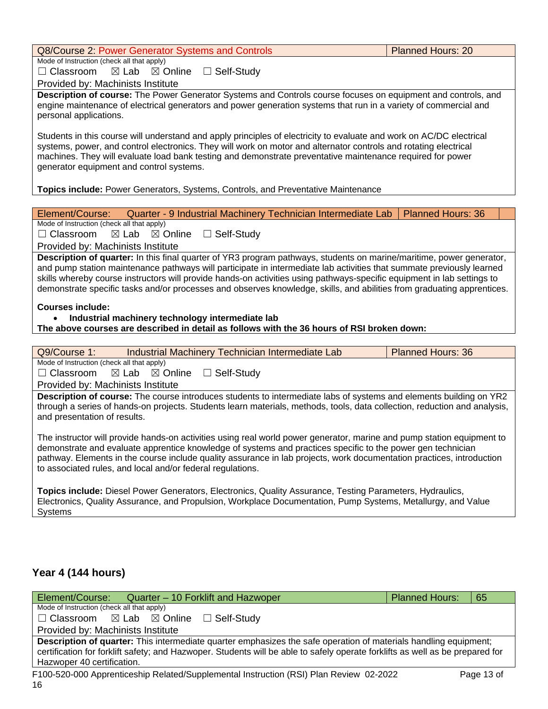| Q8/Course 2: Power Generator Systems and Controls<br><b>Planned Hours: 20</b>                                                                                                                                                                                                                                                                                                                                                                                                                      |                          |  |  |  |  |  |
|----------------------------------------------------------------------------------------------------------------------------------------------------------------------------------------------------------------------------------------------------------------------------------------------------------------------------------------------------------------------------------------------------------------------------------------------------------------------------------------------------|--------------------------|--|--|--|--|--|
| Mode of Instruction (check all that apply)                                                                                                                                                                                                                                                                                                                                                                                                                                                         |                          |  |  |  |  |  |
| $\Box$ Classroom $\boxtimes$ Lab $\boxtimes$ Online $\Box$ Self-Study                                                                                                                                                                                                                                                                                                                                                                                                                              |                          |  |  |  |  |  |
| Provided by: Machinists Institute                                                                                                                                                                                                                                                                                                                                                                                                                                                                  |                          |  |  |  |  |  |
| Description of course: The Power Generator Systems and Controls course focuses on equipment and controls, and<br>engine maintenance of electrical generators and power generation systems that run in a variety of commercial and<br>personal applications.                                                                                                                                                                                                                                        |                          |  |  |  |  |  |
| Students in this course will understand and apply principles of electricity to evaluate and work on AC/DC electrical<br>systems, power, and control electronics. They will work on motor and alternator controls and rotating electrical<br>machines. They will evaluate load bank testing and demonstrate preventative maintenance required for power<br>generator equipment and control systems.                                                                                                 |                          |  |  |  |  |  |
|                                                                                                                                                                                                                                                                                                                                                                                                                                                                                                    |                          |  |  |  |  |  |
| <b>Topics include: Power Generators, Systems, Controls, and Preventative Maintenance</b>                                                                                                                                                                                                                                                                                                                                                                                                           |                          |  |  |  |  |  |
| Element/Course:<br>Quarter - 9 Industrial Machinery Technician Intermediate Lab                                                                                                                                                                                                                                                                                                                                                                                                                    | <b>Planned Hours: 36</b> |  |  |  |  |  |
| Mode of Instruction (check all that apply)                                                                                                                                                                                                                                                                                                                                                                                                                                                         |                          |  |  |  |  |  |
| $\Box$ Classroom<br>$\boxtimes$ Lab $\boxtimes$ Online<br>$\Box$ Self-Study                                                                                                                                                                                                                                                                                                                                                                                                                        |                          |  |  |  |  |  |
| Provided by: Machinists Institute                                                                                                                                                                                                                                                                                                                                                                                                                                                                  |                          |  |  |  |  |  |
| Description of quarter: In this final quarter of YR3 program pathways, students on marine/maritime, power generator,<br>and pump station maintenance pathways will participate in intermediate lab activities that summate previously learned<br>skills whereby course instructors will provide hands-on activities using pathways-specific equipment in lab settings to<br>demonstrate specific tasks and/or processes and observes knowledge, skills, and abilities from graduating apprentices. |                          |  |  |  |  |  |

• **Industrial machinery technology intermediate lab**

to associated rules, and local and/or federal regulations.

**The above courses are described in detail as follows with the 36 hours of RSI broken down:**

| Industrial Machinery Technician Intermediate Lab<br><b>Planned Hours: 36</b><br>Q9/Course 1: |  |                                    |              |                                                                                                             |  |                                                                                                                                                                                                                                                        |
|----------------------------------------------------------------------------------------------|--|------------------------------------|--------------|-------------------------------------------------------------------------------------------------------------|--|--------------------------------------------------------------------------------------------------------------------------------------------------------------------------------------------------------------------------------------------------------|
| Mode of Instruction (check all that apply)                                                   |  |                                    |              |                                                                                                             |  |                                                                                                                                                                                                                                                        |
| $\Box$ Classroom                                                                             |  | $\boxtimes$ Lab $\boxtimes$ Online | □ Self-Study |                                                                                                             |  |                                                                                                                                                                                                                                                        |
| Provided by: Machinists Institute                                                            |  |                                    |              |                                                                                                             |  |                                                                                                                                                                                                                                                        |
| and presentation of results.                                                                 |  |                                    |              |                                                                                                             |  | <b>Description of course:</b> The course introduces students to intermediate labs of systems and elements building on YR2<br>through a series of hands-on projects. Students learn materials, methods, tools, data collection, reduction and analysis, |
|                                                                                              |  |                                    |              | demonstrate and evaluate apprentice knowledge of systems and practices specific to the power gen technician |  | The instructor will provide hands-on activities using real world power generator, marine and pump station equipment to<br>pathway. Elements in the course include quality assurance in lab projects, work documentation practices, introduction        |

**Topics include:** Diesel Power Generators, Electronics, Quality Assurance, Testing Parameters, Hydraulics, Electronics, Quality Assurance, and Propulsion, Workplace Documentation, Pump Systems, Metallurgy, and Value Systems

### **Year 4 (144 hours)**

| Element/Course: Quarter – 10 Forklift and Hazwoper                                                                            | <b>Planned Hours:</b> | 65         |  |  |  |
|-------------------------------------------------------------------------------------------------------------------------------|-----------------------|------------|--|--|--|
| Mode of Instruction (check all that apply)                                                                                    |                       |            |  |  |  |
| $\Box$ Classroom $\boxtimes$ Lab $\boxtimes$ Online $\Box$ Self-Study                                                         |                       |            |  |  |  |
| Provided by: Machinists Institute                                                                                             |                       |            |  |  |  |
| Description of quarter: This intermediate quarter emphasizes the safe operation of materials handling equipment;              |                       |            |  |  |  |
| certification for forklift safety; and Hazwoper. Students will be able to safely operate forklifts as well as be prepared for |                       |            |  |  |  |
| Hazwoper 40 certification.                                                                                                    |                       |            |  |  |  |
| E100-520-000 Apprenticeship Related/Supplemental Instruction (RSI) Plan Review 02-2022                                        |                       | Page 13 of |  |  |  |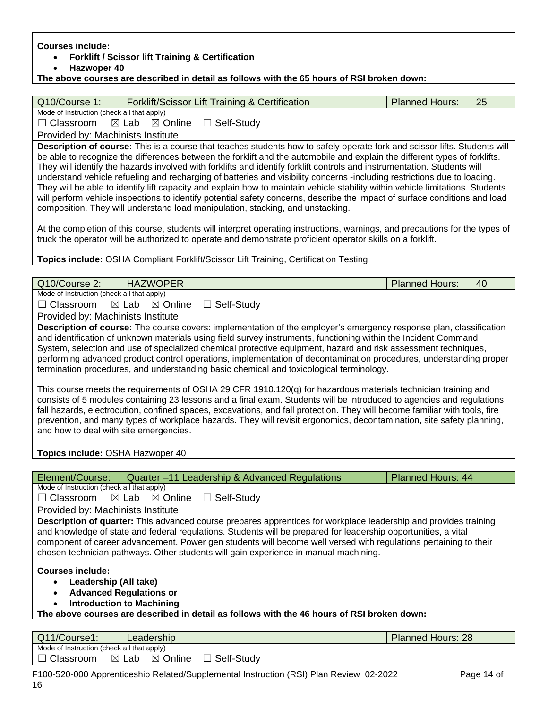| <b>Courses include:</b><br><b>Forklift / Scissor lift Training &amp; Certification</b>                                                                                                                                                                     |                          |    |  |  |  |  |  |
|------------------------------------------------------------------------------------------------------------------------------------------------------------------------------------------------------------------------------------------------------------|--------------------------|----|--|--|--|--|--|
| Hazwoper 40                                                                                                                                                                                                                                                |                          |    |  |  |  |  |  |
| The above courses are described in detail as follows with the 65 hours of RSI broken down:                                                                                                                                                                 |                          |    |  |  |  |  |  |
|                                                                                                                                                                                                                                                            |                          |    |  |  |  |  |  |
| Forklift/Scissor Lift Training & Certification<br>Q10/Course 1:                                                                                                                                                                                            | <b>Planned Hours:</b>    | 25 |  |  |  |  |  |
| Mode of Instruction (check all that apply)                                                                                                                                                                                                                 |                          |    |  |  |  |  |  |
| $\Box$ Classroom<br>$\boxtimes$ Lab<br>$\boxtimes$ Online<br>□ Self-Study                                                                                                                                                                                  |                          |    |  |  |  |  |  |
| Provided by: Machinists Institute                                                                                                                                                                                                                          |                          |    |  |  |  |  |  |
| Description of course: This is a course that teaches students how to safely operate fork and scissor lifts. Students will                                                                                                                                  |                          |    |  |  |  |  |  |
| be able to recognize the differences between the forklift and the automobile and explain the different types of forklifts.                                                                                                                                 |                          |    |  |  |  |  |  |
| They will identify the hazards involved with forklifts and identify forklift controls and instrumentation. Students will                                                                                                                                   |                          |    |  |  |  |  |  |
| understand vehicle refueling and recharging of batteries and visibility concerns -including restrictions due to loading.<br>They will be able to identify lift capacity and explain how to maintain vehicle stability within vehicle limitations. Students |                          |    |  |  |  |  |  |
| will perform vehicle inspections to identify potential safety concerns, describe the impact of surface conditions and load                                                                                                                                 |                          |    |  |  |  |  |  |
| composition. They will understand load manipulation, stacking, and unstacking.                                                                                                                                                                             |                          |    |  |  |  |  |  |
|                                                                                                                                                                                                                                                            |                          |    |  |  |  |  |  |
| At the completion of this course, students will interpret operating instructions, warnings, and precautions for the types of                                                                                                                               |                          |    |  |  |  |  |  |
| truck the operator will be authorized to operate and demonstrate proficient operator skills on a forklift.                                                                                                                                                 |                          |    |  |  |  |  |  |
|                                                                                                                                                                                                                                                            |                          |    |  |  |  |  |  |
| Topics include: OSHA Compliant Forklift/Scissor Lift Training, Certification Testing                                                                                                                                                                       |                          |    |  |  |  |  |  |
|                                                                                                                                                                                                                                                            |                          |    |  |  |  |  |  |
|                                                                                                                                                                                                                                                            |                          |    |  |  |  |  |  |
| Q10/Course 2:<br><b>HAZWOPER</b>                                                                                                                                                                                                                           | <b>Planned Hours:</b>    | 40 |  |  |  |  |  |
| Mode of Instruction (check all that apply)                                                                                                                                                                                                                 |                          |    |  |  |  |  |  |
| $\Box$ Classroom<br>$\boxtimes$ Online<br>$\Box$ Self-Study<br>$\boxtimes$ Lab                                                                                                                                                                             |                          |    |  |  |  |  |  |
| Provided by: Machinists Institute                                                                                                                                                                                                                          |                          |    |  |  |  |  |  |
| Description of course: The course covers: implementation of the employer's emergency response plan, classification                                                                                                                                         |                          |    |  |  |  |  |  |
| and identification of unknown materials using field survey instruments, functioning within the Incident Command                                                                                                                                            |                          |    |  |  |  |  |  |
| System, selection and use of specialized chemical protective equipment, hazard and risk assessment techniques,                                                                                                                                             |                          |    |  |  |  |  |  |
| performing advanced product control operations, implementation of decontamination procedures, understanding proper                                                                                                                                         |                          |    |  |  |  |  |  |
| termination procedures, and understanding basic chemical and toxicological terminology.                                                                                                                                                                    |                          |    |  |  |  |  |  |
| This course meets the requirements of OSHA 29 CFR 1910.120(q) for hazardous materials technician training and                                                                                                                                              |                          |    |  |  |  |  |  |
| consists of 5 modules containing 23 lessons and a final exam. Students will be introduced to agencies and regulations,                                                                                                                                     |                          |    |  |  |  |  |  |
| fall hazards, electrocution, confined spaces, excavations, and fall protection. They will become familiar with tools, fire                                                                                                                                 |                          |    |  |  |  |  |  |
| prevention, and many types of workplace hazards. They will revisit ergonomics, decontamination, site safety planning,                                                                                                                                      |                          |    |  |  |  |  |  |
| and how to deal with site emergencies.                                                                                                                                                                                                                     |                          |    |  |  |  |  |  |
|                                                                                                                                                                                                                                                            |                          |    |  |  |  |  |  |
| Topics include: OSHA Hazwoper 40                                                                                                                                                                                                                           |                          |    |  |  |  |  |  |
| Element/Course:<br>Quarter-11 Leadership & Advanced Regulations                                                                                                                                                                                            | <b>Planned Hours: 44</b> |    |  |  |  |  |  |

of Instruction (check all that apply) ☐ Classroom ☒ Lab ☒ Online ☐ Self-Study

Provided by: Machinists Institute

**Description of quarter:** This advanced course prepares apprentices for workplace leadership and provides training and knowledge of state and federal regulations. Students will be prepared for leadership opportunities, a vital component of career advancement. Power gen students will become well versed with regulations pertaining to their chosen technician pathways. Other students will gain experience in manual machining.

**Courses include:**

- **Leadership (All take)**
- **Advanced Regulations or**
- **Introduction to Machining**

**The above courses are described in detail as follows with the 46 hours of RSI broken down:**

| Q11/Course1:                               |       | Leadership         |               | <b>Planned Hours: 28</b> |
|--------------------------------------------|-------|--------------------|---------------|--------------------------|
| Mode of Instruction (check all that apply) |       |                    |               |                          |
| Classroom                                  | ⊠ Lab | $\boxtimes$ Online | _ Self-Studv⊑ |                          |

F100-520-000 Apprenticeship Related/Supplemental Instruction (RSI) Plan Review 02-2022 Page 14 of 16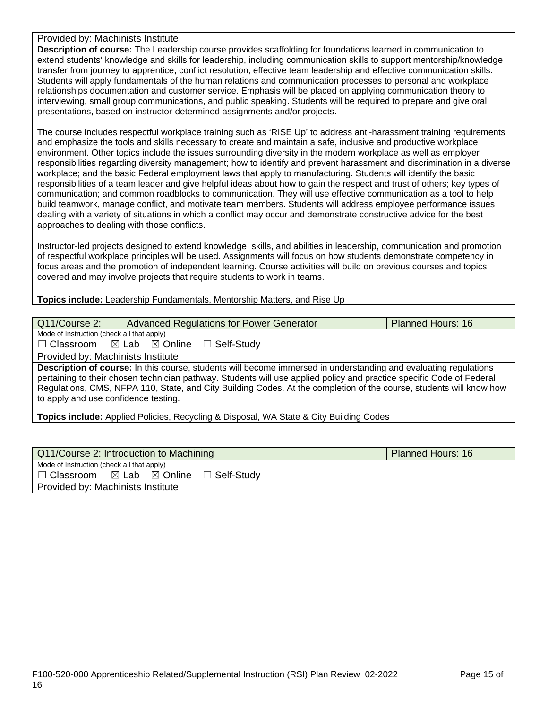#### Provided by: Machinists Institute

**Description of course:** The Leadership course provides scaffolding for foundations learned in communication to extend students' knowledge and skills for leadership, including communication skills to support mentorship/knowledge transfer from journey to apprentice, conflict resolution, effective team leadership and effective communication skills. Students will apply fundamentals of the human relations and communication processes to personal and workplace relationships documentation and customer service. Emphasis will be placed on applying communication theory to interviewing, small group communications, and public speaking. Students will be required to prepare and give oral presentations, based on instructor-determined assignments and/or projects.

The course includes respectful workplace training such as 'RISE Up' to address anti-harassment training requirements and emphasize the tools and skills necessary to create and maintain a safe, inclusive and productive workplace environment. Other topics include the issues surrounding diversity in the modern workplace as well as employer responsibilities regarding diversity management; how to identify and prevent harassment and discrimination in a diverse workplace; and the basic Federal employment laws that apply to manufacturing. Students will identify the basic responsibilities of a team leader and give helpful ideas about how to gain the respect and trust of others; key types of communication; and common roadblocks to communication. They will use effective communication as a tool to help build teamwork, manage conflict, and motivate team members. Students will address employee performance issues dealing with a variety of situations in which a conflict may occur and demonstrate constructive advice for the best approaches to dealing with those conflicts.

Instructor-led projects designed to extend knowledge, skills, and abilities in leadership, communication and promotion of respectful workplace principles will be used. Assignments will focus on how students demonstrate competency in focus areas and the promotion of independent learning. Course activities will build on previous courses and topics covered and may involve projects that require students to work in teams.

#### **Topics include:** Leadership Fundamentals, Mentorship Matters, and Rise Up

| Q11/Course 2:                                                                                                                                                                                                                                                                                                                                                                                                   |                                                     | <b>Advanced Regulations for Power Generator</b>                                               | <b>Planned Hours: 16</b> |  |  |
|-----------------------------------------------------------------------------------------------------------------------------------------------------------------------------------------------------------------------------------------------------------------------------------------------------------------------------------------------------------------------------------------------------------------|-----------------------------------------------------|-----------------------------------------------------------------------------------------------|--------------------------|--|--|
| Mode of Instruction (check all that apply)                                                                                                                                                                                                                                                                                                                                                                      |                                                     |                                                                                               |                          |  |  |
|                                                                                                                                                                                                                                                                                                                                                                                                                 | $\Box$ Classroom $\boxtimes$ Lab $\boxtimes$ Online | □ Self-Study                                                                                  |                          |  |  |
| Provided by: Machinists Institute                                                                                                                                                                                                                                                                                                                                                                               |                                                     |                                                                                               |                          |  |  |
| <b>Description of course:</b> In this course, students will become immersed in understanding and evaluating regulations<br>pertaining to their chosen technician pathway. Students will use applied policy and practice specific Code of Federal<br>Regulations, CMS, NFPA 110, State, and City Building Codes. At the completion of the course, students will know how<br>to apply and use confidence testing. |                                                     |                                                                                               |                          |  |  |
|                                                                                                                                                                                                                                                                                                                                                                                                                 |                                                     | <b>Topics include:</b> Applied Policies, Recycling & Disposal, WA State & City Building Codes |                          |  |  |

|                                                           | <b>Planned Hours: 16</b> |  |  |  |  |
|-----------------------------------------------------------|--------------------------|--|--|--|--|
| Mode of Instruction (check all that apply)                |                          |  |  |  |  |
| □ Self-Study<br>$\Box$ Classroom $\Box$ Lab $\Box$ Online |                          |  |  |  |  |
| Provided by: Machinists Institute                         |                          |  |  |  |  |